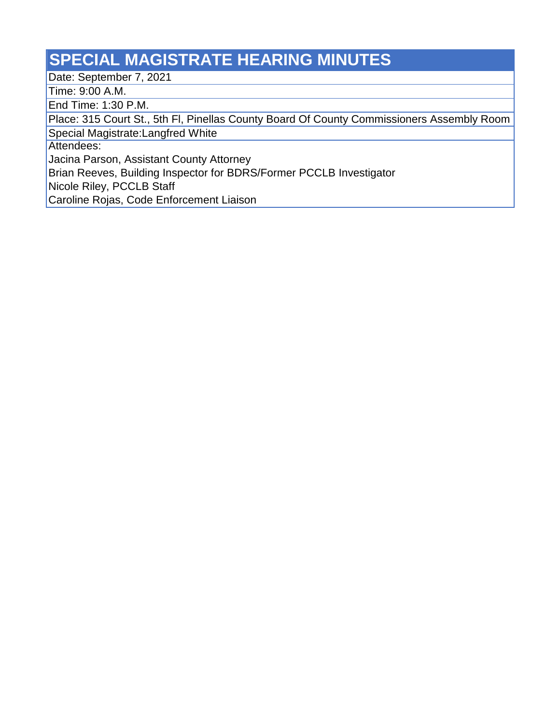## **SPECIAL MAGISTRATE HEARING MINUTES**

Date: September 7, 2021

Time: 9:00 A.M.

End Time: 1:30 P.M.

Place: 315 Court St., 5th Fl, Pinellas County Board Of County Commissioners Assembly Room

Special Magistrate:Langfred White

Attendees:

Jacina Parson, Assistant County Attorney

Brian Reeves, Building Inspector for BDRS/Former PCCLB Investigator

Nicole Riley, PCCLB Staff

Caroline Rojas, Code Enforcement Liaison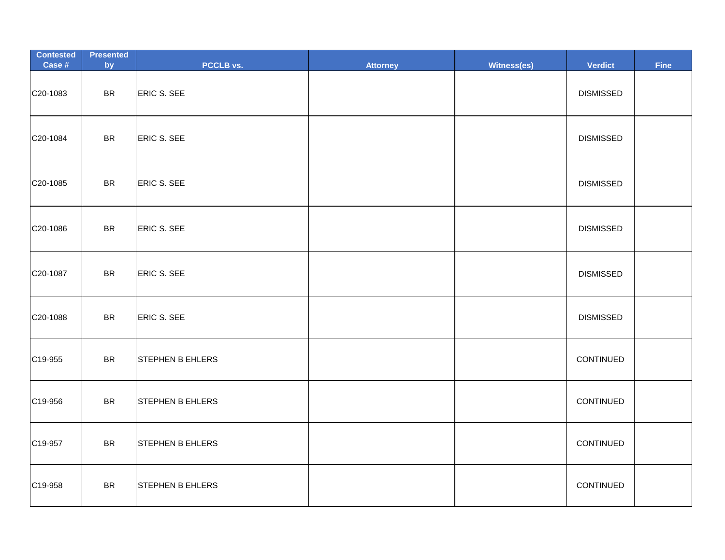| <b>Contested</b><br>Case # | <b>Presented</b><br>by | PCCLB vs.               | <b>Attorney</b> | Witness(es) | <b>Verdict</b>   | <b>Fine</b> |
|----------------------------|------------------------|-------------------------|-----------------|-------------|------------------|-------------|
| C20-1083                   | <b>BR</b>              | <b>ERIC S. SEE</b>      |                 |             | <b>DISMISSED</b> |             |
| C20-1084                   | <b>BR</b>              | ERIC S. SEE             |                 |             | <b>DISMISSED</b> |             |
| C20-1085                   | <b>BR</b>              | ERIC S. SEE             |                 |             | <b>DISMISSED</b> |             |
| C20-1086                   | <b>BR</b>              | ERIC S. SEE             |                 |             | <b>DISMISSED</b> |             |
| C20-1087                   | <b>BR</b>              | ERIC S. SEE             |                 |             | <b>DISMISSED</b> |             |
| C20-1088                   | <b>BR</b>              | ERIC S. SEE             |                 |             | <b>DISMISSED</b> |             |
| C19-955                    | <b>BR</b>              | <b>STEPHEN B EHLERS</b> |                 |             | CONTINUED        |             |
| C19-956                    | <b>BR</b>              | <b>STEPHEN B EHLERS</b> |                 |             | CONTINUED        |             |
| C19-957                    | <b>BR</b>              | STEPHEN B EHLERS        |                 |             | CONTINUED        |             |
| C19-958                    | <b>BR</b>              | <b>STEPHEN B EHLERS</b> |                 |             | CONTINUED        |             |